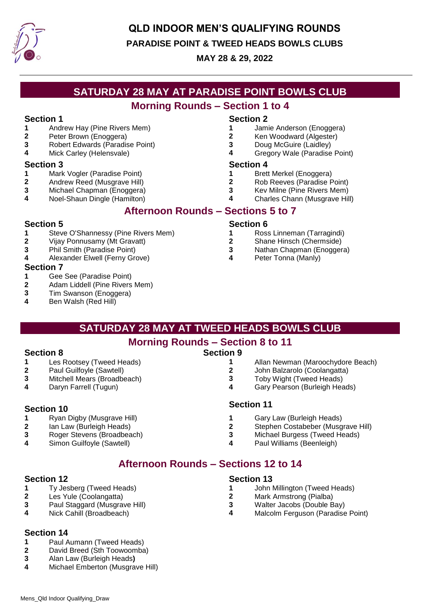

## **QLD INDOOR MEN'S QUALIFYING ROUNDS**

#### **PARADISE POINT & TWEED HEADS BOWLS CLUBS**

#### **MAY 28 & 29, 2022**

## **SATURDAY 28 MAY AT PARADISE POINT BOWLS CLUB**

### **Morning Rounds – Section 1 to 4**

- **1** Andrew Hay (Pine Rivers Mem)
- **2** Peter Brown (Enoggera)
- **3** Robert Edwards (Paradise Point)
- **4** Mick Carley (Helensvale)

#### **Section 3 Section 4**

- **1** Mark Vogler (Paradise Point)
- **2** Andrew Reed (Musgrave Hill)
- **3** Michael Chapman (Enoggera)
- **4** Noel-Shaun Dingle (Hamilton)

### **Afternoon Rounds – Sections 5 to 7**

#### **Section 5 Section 6**

- **1** Steve O'Shannessy (Pine Rivers Mem)
- **2** Vijay Ponnusamy (Mt Gravatt)
- **3** Phil Smith (Paradise Point)
- **4** Alexander Elwell (Ferny Grove)

#### **Section 7**

- **1** Gee See (Paradise Point)
- **2** Adam Liddell (Pine Rivers Mem)

Les Rootsey (Tweed Heads) Paul Guilfoyle (Sawtell) Mitchell Mears (Broadbeach) Daryn Farrell (Tugun)

Ryan Digby (Musgrave Hill) Ian Law (Burleigh Heads) Roger Stevens (Broadbeach) Simon Guilfoyle (Sawtell)

- **3** Tim Swanson (Enoggera)
- **4** Ben Walsh (Red Hill)

#### **Section 1 Section 2**

- **1** Jamie Anderson (Enoggera)
- **2** Ken Woodward (Algester)
- **3** Doug McGuire (Laidley)
- **4** Gregory Wale (Paradise Point)

- **1** Brett Merkel (Enoggera)
- **2** Rob Reeves (Paradise Point)
- **3** Kev Milne (Pine Rivers Mem)
- **4** Charles Chann (Musgrave Hill)

- **1** Ross Linneman (Tarragindi)
- **2** Shane Hinsch (Chermside)
- **3** Nathan Chapman (Enoggera)
- **4** Peter Tonna (Manly)

### **SATURDAY 28 MAY AT TWEED HEADS BOWLS CLUB**

### **Morning Rounds – Section 8 to 11**

#### **Section 8 Section 9 1**

- Allan Newman (Maroochydore Beach)
- **2** John Balzarolo (Coolangatta)
- **3** Toby Wight (Tweed Heads)
- **4** Gary Pearson (Burleigh Heads)
- Gary Law (Burleigh Heads)
- **2** Stephen Costabeber (Musgrave Hill)
- **3** Michael Burgess (Tweed Heads)
- **4** Paul Williams (Beenleigh)

# **Afternoon Rounds – Sections 12 to 14**

- **1** Ty Jesberg (Tweed Heads)
- **2** Les Yule (Coolangatta)
- **3** Paul Staggard (Musgrave Hill)
- **4** Nick Cahill (Broadbeach)

### **Section 14**

- **1** Paul Aumann (Tweed Heads)
- **2** David Breed (Sth Toowoomba)
- **3** Alan Law (Burleigh Heads**)**
- **4** Michael Emberton (Musgrave Hill)

#### **Section 12 Section 13**

- **1** John Millington (Tweed Heads)
- **2** Mark Armstrong (Pialba)
- **3** Walter Jacobs (Double Bay)
- **4** Malcolm Ferguson (Paradise Point)
- **Section 10 Section 11**
	- **1**